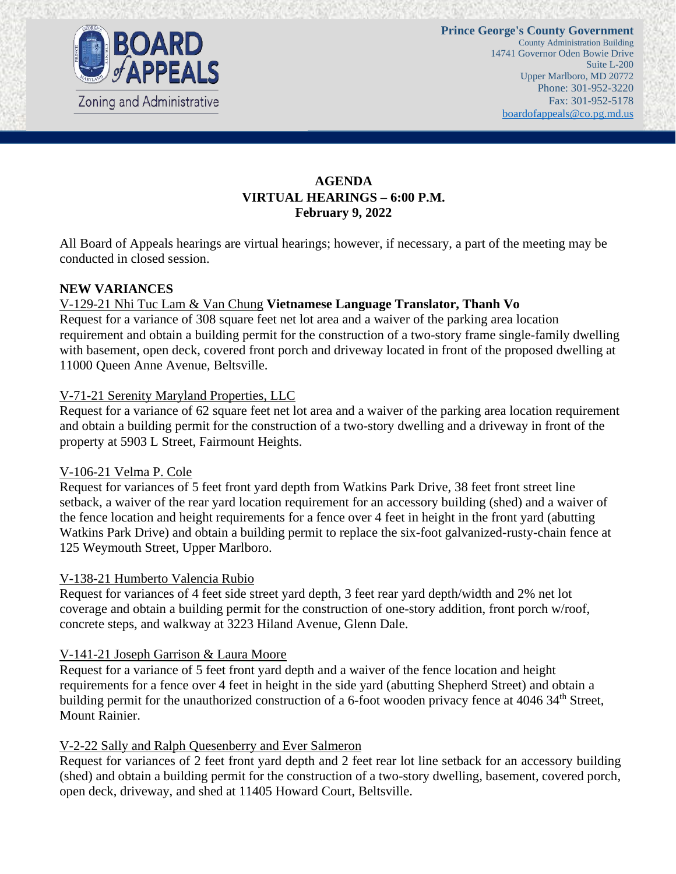

# **AGENDA VIRTUAL HEARINGS – 6:00 P.M. February 9, 2022**

All Board of Appeals hearings are virtual hearings; however, if necessary, a part of the meeting may be conducted in closed session.

### **NEW VARIANCES**

## V-129-21 Nhi Tuc Lam & Van Chung **Vietnamese Language Translator, Thanh Vo**

Request for a variance of 308 square feet net lot area and a waiver of the parking area location requirement and obtain a building permit for the construction of a two-story frame single-family dwelling with basement, open deck, covered front porch and driveway located in front of the proposed dwelling at 11000 Queen Anne Avenue, Beltsville.

### V-71-21 Serenity Maryland Properties, LLC

Request for a variance of 62 square feet net lot area and a waiver of the parking area location requirement and obtain a building permit for the construction of a two-story dwelling and a driveway in front of the property at 5903 L Street, Fairmount Heights.

#### V-106-21 Velma P. Cole

Request for variances of 5 feet front yard depth from Watkins Park Drive, 38 feet front street line setback, a waiver of the rear yard location requirement for an accessory building (shed) and a waiver of the fence location and height requirements for a fence over 4 feet in height in the front yard (abutting Watkins Park Drive) and obtain a building permit to replace the six-foot galvanized-rusty-chain fence at 125 Weymouth Street, Upper Marlboro.

#### V-138-21 Humberto Valencia Rubio

Request for variances of 4 feet side street yard depth, 3 feet rear yard depth/width and 2% net lot coverage and obtain a building permit for the construction of one-story addition, front porch w/roof, concrete steps, and walkway at 3223 Hiland Avenue, Glenn Dale.

#### V-141-21 Joseph Garrison & Laura Moore

Request for a variance of 5 feet front yard depth and a waiver of the fence location and height requirements for a fence over 4 feet in height in the side yard (abutting Shepherd Street) and obtain a building permit for the unauthorized construction of a 6-foot wooden privacy fence at 4046 34<sup>th</sup> Street, Mount Rainier.

## V-2-22 Sally and Ralph Quesenberry and Ever Salmeron

Request for variances of 2 feet front yard depth and 2 feet rear lot line setback for an accessory building (shed) and obtain a building permit for the construction of a two-story dwelling, basement, covered porch, open deck, driveway, and shed at 11405 Howard Court, Beltsville.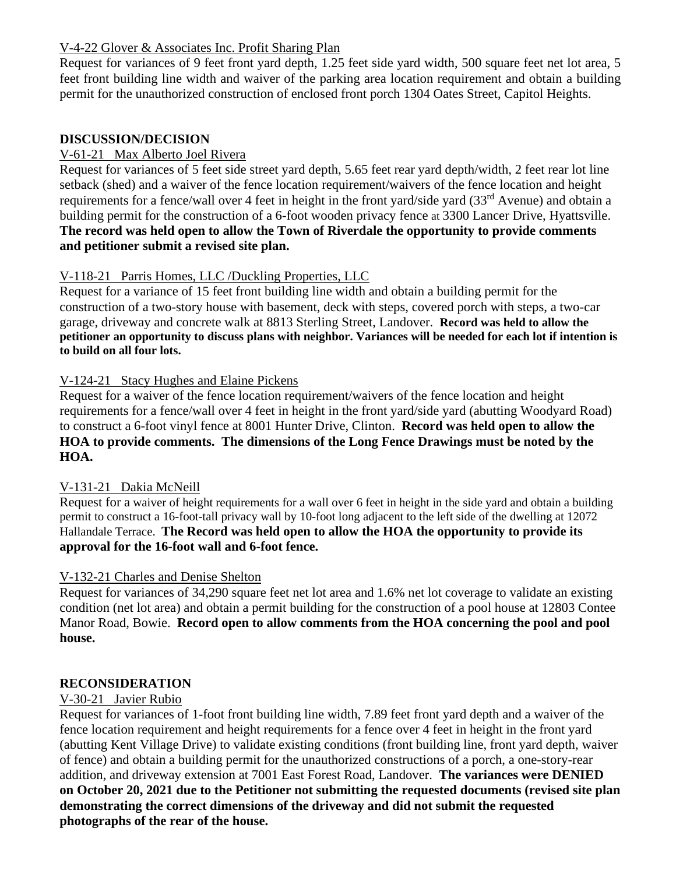# V-4-22 Glover & Associates Inc. Profit Sharing Plan

Request for variances of 9 feet front yard depth, 1.25 feet side yard width, 500 square feet net lot area, 5 feet front building line width and waiver of the parking area location requirement and obtain a building permit for the unauthorized construction of enclosed front porch 1304 Oates Street, Capitol Heights.

## **DISCUSSION/DECISION**

## V-61-21 Max Alberto Joel Rivera

Request for variances of 5 feet side street yard depth, 5.65 feet rear yard depth/width, 2 feet rear lot line setback (shed) and a waiver of the fence location requirement/waivers of the fence location and height requirements for a fence/wall over 4 feet in height in the front yard/side yard (33<sup>rd</sup> Avenue) and obtain a building permit for the construction of a 6-foot wooden privacy fence at 3300 Lancer Drive, Hyattsville. **The record was held open to allow the Town of Riverdale the opportunity to provide comments and petitioner submit a revised site plan.**

# V-118-21 Parris Homes, LLC /Duckling Properties, LLC

Request for a variance of 15 feet front building line width and obtain a building permit for the construction of a two-story house with basement, deck with steps, covered porch with steps, a two-car garage, driveway and concrete walk at 8813 Sterling Street, Landover. **Record was held to allow the petitioner an opportunity to discuss plans with neighbor. Variances will be needed for each lot if intention is to build on all four lots.** 

## V-124-21 Stacy Hughes and Elaine Pickens

Request for a waiver of the fence location requirement/waivers of the fence location and height requirements for a fence/wall over 4 feet in height in the front yard/side yard (abutting Woodyard Road) to construct a 6-foot vinyl fence at 8001 Hunter Drive, Clinton. **Record was held open to allow the HOA to provide comments. The dimensions of the Long Fence Drawings must be noted by the HOA.**

## V-131-21 Dakia McNeill

Request for a waiver of height requirements for a wall over 6 feet in height in the side yard and obtain a building permit to construct a 16-foot-tall privacy wall by 10-foot long adjacent to the left side of the dwelling at 12072 Hallandale Terrace. **The Record was held open to allow the HOA the opportunity to provide its approval for the 16-foot wall and 6-foot fence.** 

## V-132-21 Charles and Denise Shelton

Request for variances of 34,290 square feet net lot area and 1.6% net lot coverage to validate an existing condition (net lot area) and obtain a permit building for the construction of a pool house at 12803 Contee Manor Road, Bowie. **Record open to allow comments from the HOA concerning the pool and pool house.** 

## **RECONSIDERATION**

## V-30-21 Javier Rubio

Request for variances of 1-foot front building line width, 7.89 feet front yard depth and a waiver of the fence location requirement and height requirements for a fence over 4 feet in height in the front yard (abutting Kent Village Drive) to validate existing conditions (front building line, front yard depth, waiver of fence) and obtain a building permit for the unauthorized constructions of a porch, a one-story-rear addition, and driveway extension at 7001 East Forest Road, Landover. **The variances were DENIED on October 20, 2021 due to the Petitioner not submitting the requested documents (revised site plan demonstrating the correct dimensions of the driveway and did not submit the requested photographs of the rear of the house.**